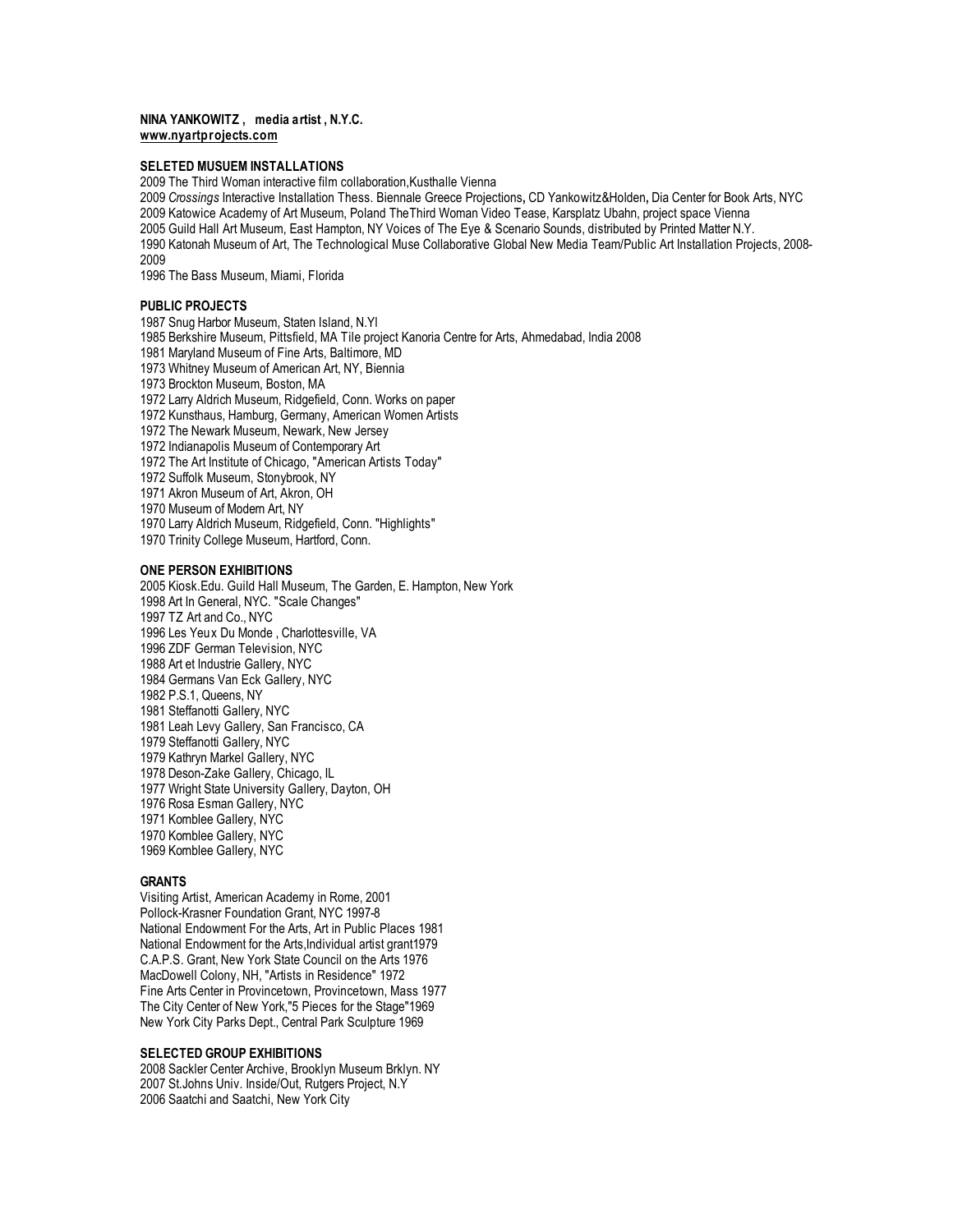## **NINA YANKOWITZ , media artist , N.Y.C. www.nyartprojects.com**

## **SELETED MUSUEM INSTALLATIONS**

The Third Woman interactive film collaboration,Kusthalle Vienna

 *Crossings* Interactive Installation Thess. Biennale Greece Projections**,** CD Yankowitz&Holden**,** Dia Center for Book Arts, NYC Katowice Academy of Art Museum, Poland TheThird Woman Video Tease, Karsplatz Ubahn, project space Vienna Guild Hall Art Museum, East Hampton, NY Voices of The Eye & Scenario Sounds, distributed by Printed Matter N.Y. Katonah Museum of Art, The Technological Muse Collaborative Global New Media Team/Public Art Installation Projects, 2008- 

The Bass Museum, Miami, Florida

# **PUBLIC PROJECTS**

 Snug Harbor Museum, Staten Island, N.Yl Berkshire Museum, Pittsfield, MA Tile project Kanoria Centre for Arts, Ahmedabad, India 2008 Maryland Museum of Fine Arts, Baltimore, MD Whitney Museum of American Art, NY, Biennia Brockton Museum, Boston, MA Larry Aldrich Museum, Ridgefield, Conn. Works on paper Kunsthaus, Hamburg, Germany, American Women Artists The Newark Museum, Newark, New Jersey Indianapolis Museum of Contemporary Art The Art Institute of Chicago, "American Artists Today" Suffolk Museum, Stonybrook, NY Akron Museum of Art, Akron, OH Museum of Modern Art, NY Larry Aldrich Museum, Ridgefield, Conn. "Highlights" Trinity College Museum, Hartford, Conn.

#### **ONE PERSON EXHIBITIONS**

 Kiosk.Edu. Guild Hall Museum, The Garden, E. Hampton, New York Art In General, NYC. "Scale Changes" TZ Art and Co., NYC Les Yeux Du Monde , Charlottesville, VA ZDF German Television, NYC Art et Industrie Gallery, NYC Germans Van Eck Gallery, NYC P.S.1, Queens, NY Steffanotti Gallery, NYC Leah Levy Gallery, San Francisco, CA Steffanotti Gallery, NYC Kathryn Markel Gallery, NYC Deson-Zake Gallery, Chicago, IL Wright State University Gallery, Dayton, OH Rosa Esman Gallery, NYC Kornblee Gallery, NYC Kornblee Gallery, NYC Kornblee Gallery, NYC

## **GRANTS**

Visiting Artist, American Academy in Rome, 2001 Pollock-Krasner Foundation Grant, NYC 1997-8 National Endowment For the Arts, Art in Public Places 1981 National Endowment for the Arts,Individual artist grant1979 C.A.P.S. Grant, New York State Council on the Arts 1976 MacDowell Colony, NH, "Artists in Residence" 1972 Fine Arts Center in Provincetown, Provincetown, Mass 1977 The City Center of New York,"5 Pieces for the Stage"1969 New York City Parks Dept., Central Park Sculpture 1969

## **SELECTED GROUP EXHIBITIONS**

 Sackler Center Archive, Brooklyn Museum Brklyn. NY St.Johns Univ. Inside/Out, Rutgers Project, N.Y Saatchi and Saatchi, New York City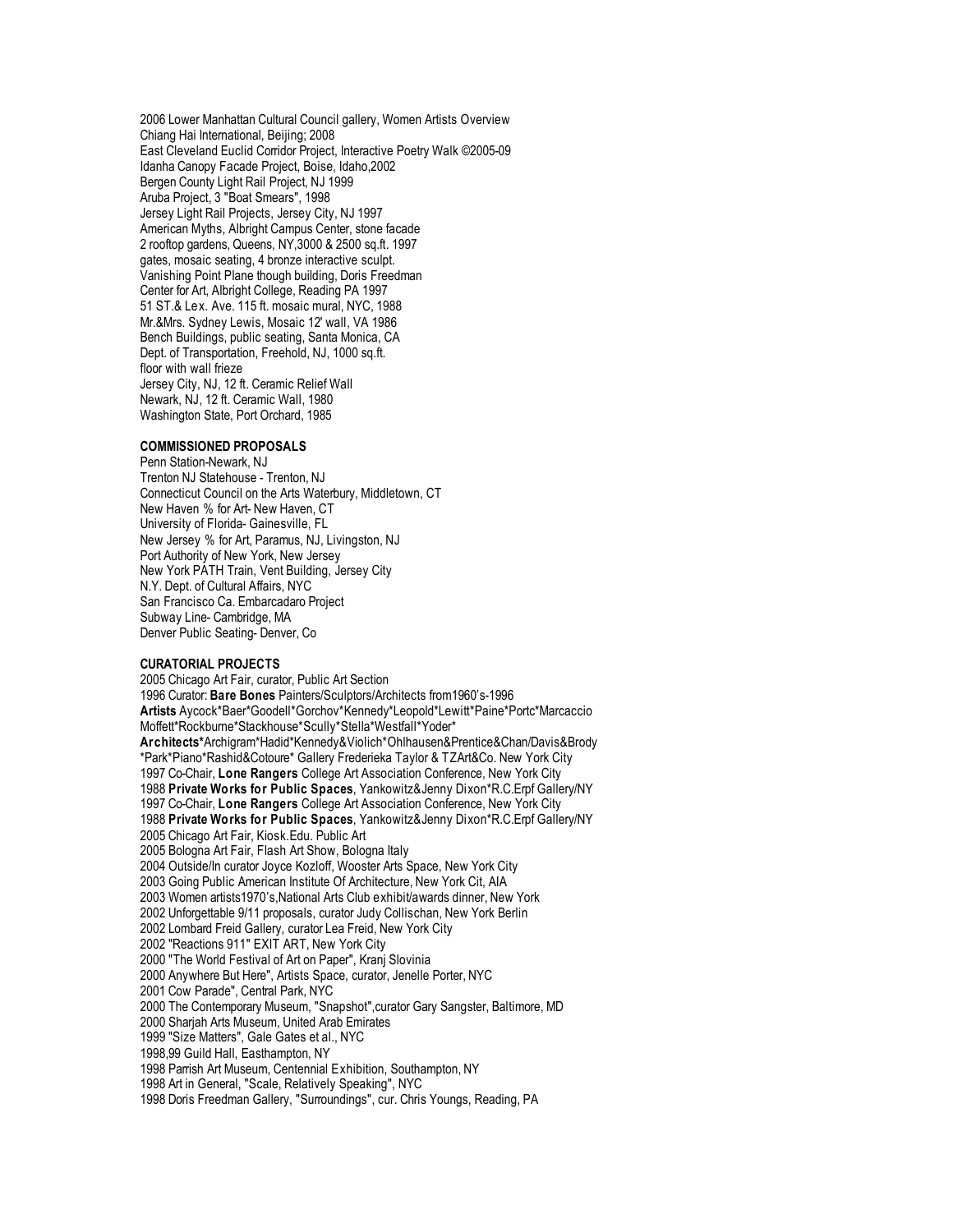2006 Lower Manhattan Cultural Council gallery, Women Artists Overview Chiang Hai International, Beijing; 2008 East Cleveland Euclid Corridor Project, Interactive Poetry Walk ©2005-09 Idanha Canopy Facade Project, Boise, Idaho,2002 Bergen County Light Rail Project, NJ 1999 Aruba Project, 3 "Boat Smears", 1998 Jersey Light Rail Projects, Jersey City, NJ 1997 American Myths, Albright Campus Center, stone facade 2 rooftop gardens, Queens, NY,3000 & 2500 sq.ft. 1997 gates, mosaic seating, 4 bronze interactive sculpt. Vanishing Point Plane though building, Doris Freedman Center for Art, Albright College, Reading PA 1997 51 ST.& Lex. Ave. 115 ft. mosaic mural, NYC, 1988 Mr.&Mrs. Sydney Lewis, Mosaic 12' wall, VA 1986 Bench Buildings, public seating, Santa Monica, CA Dept. of Transportation, Freehold, NJ, 1000 sq.ft. floor with wall frieze Jersey City, NJ, 12 ft. Ceramic Relief Wall Newark, NJ, 12 ft. Ceramic Wall, 1980 Washington State, Port Orchard, 1985

## **COMMISSIONED PROPOSALS**

Penn Station-Newark, NJ Trenton NJ Statehouse - Trenton, NJ Connecticut Council on the Arts Waterbury, Middletown, CT New Haven % for Art- New Haven, CT University of Florida- Gainesville, FL New Jersey % for Art, Paramus, NJ, Livingston, NJ Port Authority of New York, New Jersey New York PATH Train, Vent Building, Jersey City N.Y. Dept. of Cultural Affairs, NYC San Francisco Ca. Embarcadaro Project Subway Line- Cambridge, MA Denver Public Seating- Denver, Co

# **CURATORIAL PROJECTS**

 Chicago Art Fair, curator, Public Art Section Curator: **Bare Bones** Painters/Sculptors/Architects from1960's-1996 **Artists** Aycock\*Baer\*Goodell\*Gorchov\*Kennedy\*Leopold\*Lewitt\*Paine\*Portc\*Marcaccio Moffett\*Rockburne\*Stackhouse\*Scully\*Stella\*Westfall\*Yoder\* **Architects\***Archigram\*Hadid\*Kennedy&Violich\*Ohlhausen&Prentice&Chan/Davis&Brody \*Park\*Piano\*Rashid&Cotoure\* Gallery Frederieka Taylor & TZArt&Co. New York City Co-Chair, **Lone Rangers** College Art Association Conference, New York City **Private Works for Public Spaces**, Yankowitz&Jenny Dixon\*R.C.Erpf Gallery/NY Co-Chair, **Lone Rangers** College Art Association Conference, New York City **Private Works for Public Spaces**, Yankowitz&Jenny Dixon\*R.C.Erpf Gallery/NY Chicago Art Fair, Kiosk.Edu. Public Art Bologna Art Fair, Flash Art Show, Bologna Italy Outside/In curator Joyce Kozloff, Wooster Arts Space, New York City Going Public American Institute Of Architecture, New York Cit, AIA Women artists1970's,National Arts Club exhibit/awards dinner, New York Unforgettable 9/11 proposals, curator Judy Collischan, New York Berlin Lombard Freid Gallery, curator Lea Freid, New York City "Reactions 911" EXIT ART, New York City "The World Festival of Art on Paper", Kranj Slovinia Anywhere But Here", Artists Space, curator, Jenelle Porter, NYC Cow Parade", Central Park, NYC The Contemporary Museum, "Snapshot",curator Gary Sangster, Baltimore, MD Sharjah Arts Museum, United Arab Emirates "Size Matters", Gale Gates et al., NYC 1998,99 Guild Hall, Easthampton, NY Parrish Art Museum, Centennial Exhibition, Southampton, NY Art in General, "Scale, Relatively Speaking", NYC Doris Freedman Gallery, "Surroundings", cur. Chris Youngs, Reading, PA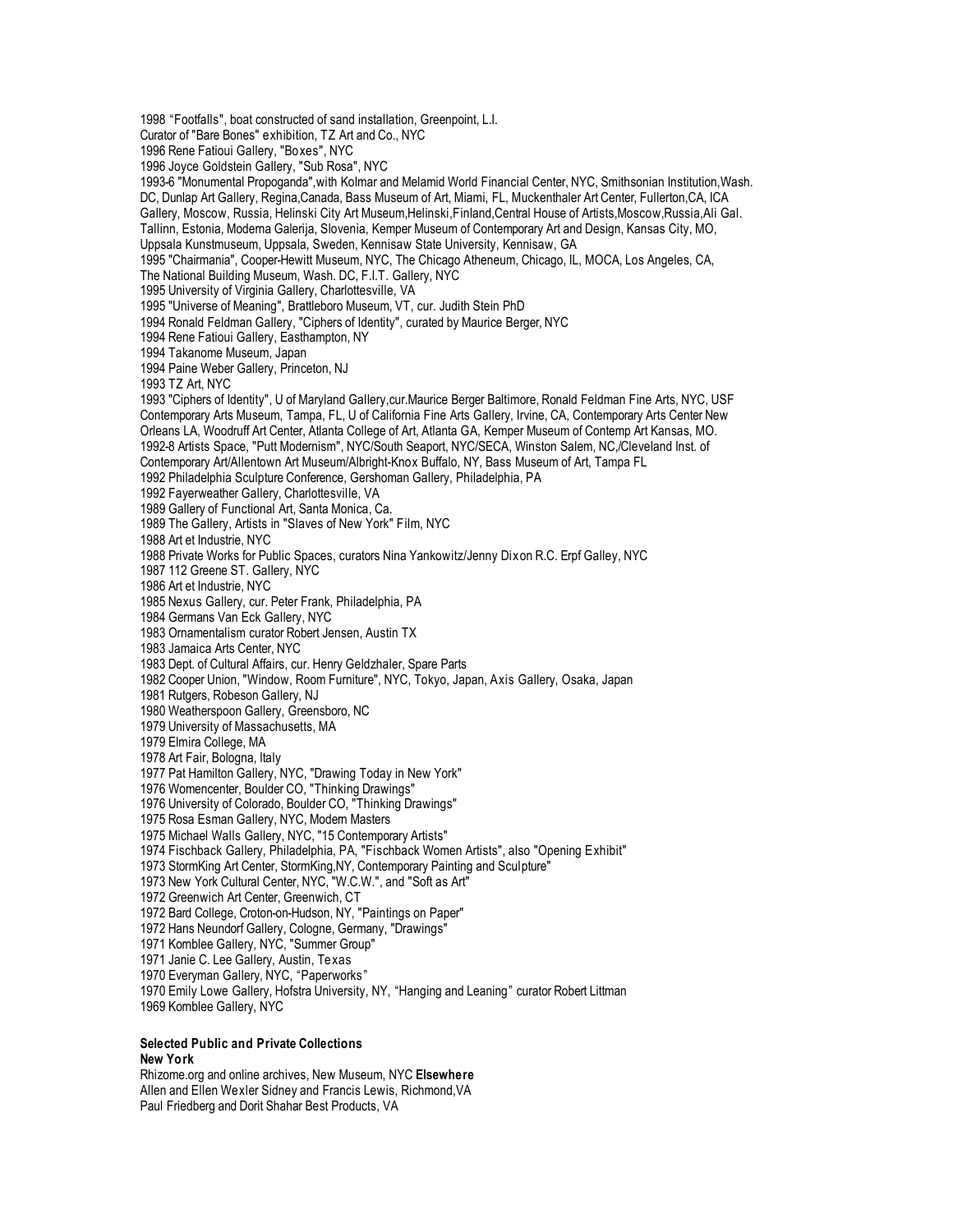"Footfalls", boat constructed of sand installation, Greenpoint, L.I. Curator of "Bare Bones" exhibition, TZ Art and Co., NYC Rene Fatioui Gallery, "Boxes", NYC Joyce Goldstein Gallery, "Sub Rosa", NYC 1993-6 "Monumental Propoganda",with Kolmar and Melamid World Financial Center, NYC, Smithsonian Institution,Wash. DC, Dunlap Art Gallery, Regina,Canada, Bass Museum of Art, Miami, FL, Muckenthaler Art Center, Fullerton,CA, ICA Gallery, Moscow, Russia, Helinski City Art Museum,Helinski,Finland,Central House of Artists,Moscow,Russia,Ali Gal. Tallinn, Estonia, Moderna Galerija, Slovenia, Kemper Museum of Contemporary Art and Design, Kansas City, MO, Uppsala Kunstmuseum, Uppsala, Sweden, Kennisaw State University, Kennisaw, GA "Chairmania", Cooper-Hewitt Museum, NYC, The Chicago Atheneum, Chicago, IL, MOCA, Los Angeles, CA, The National Building Museum, Wash. DC, F.I.T. Gallery, NYC University of Virginia Gallery, Charlottesville, VA "Universe of Meaning", Brattleboro Museum, VT, cur. Judith Stein PhD Ronald Feldman Gallery, "Ciphers of Identity", curated by Maurice Berger, NYC Rene Fatioui Gallery, Easthampton, NY Takanome Museum, Japan Paine Weber Gallery, Princeton, NJ TZ Art, NYC "Ciphers of Identity", U of Maryland Gallery,cur.Maurice Berger Baltimore, Ronald Feldman Fine Arts, NYC, USF Contemporary Arts Museum, Tampa, FL, U of California Fine Arts Gallery, Irvine, CA, Contemporary Arts Center New Orleans LA, Woodruff Art Center, Atlanta College of Art, Atlanta GA, Kemper Museum of Contemp Art Kansas, MO. 1992-8 Artists Space, "Putt Modernism", NYC/South Seaport, NYC/SECA, Winston Salem, NC,/Cleveland Inst. of Contemporary Art/Allentown Art Museum/Albright-Knox Buffalo, NY, Bass Museum of Art, Tampa FL Philadelphia Sculpture Conference, Gershoman Gallery, Philadelphia, PA Fayerweather Gallery, Charlottesville, VA Gallery of Functional Art, Santa Monica, Ca. The Gallery, Artists in "Slaves of New York" Film, NYC Art et Industrie, NYC Private Works for Public Spaces, curators Nina Yankowitz/Jenny Dixon R.C. Erpf Galley, NYC 112 Greene ST. Gallery, NYC Art et Industrie, NYC Nexus Gallery, cur. Peter Frank, Philadelphia, PA Germans Van Eck Gallery, NYC Ornamentalism curator Robert Jensen, Austin TX Jamaica Arts Center, NYC Dept. of Cultural Affairs, cur. Henry Geldzhaler, Spare Parts Cooper Union, "Window, Room Furniture", NYC, Tokyo, Japan, Axis Gallery, Osaka, Japan Rutgers, Robeson Gallery, NJ Weatherspoon Gallery, Greensboro, NC University of Massachusetts, MA Elmira College, MA Art Fair, Bologna, Italy Pat Hamilton Gallery, NYC, "Drawing Today in New York" Womencenter, Boulder CO, "Thinking Drawings" University of Colorado, Boulder CO, "Thinking Drawings" Rosa Esman Gallery, NYC, Modern Masters Michael Walls Gallery, NYC, "15 Contemporary Artists" Fischback Gallery, Philadelphia, PA, "Fischback Women Artists", also "Opening Exhibit" StormKing Art Center, StormKing,NY, Contemporary Painting and Sculpture" New York Cultural Center, NYC, "W.C.W.", and "Soft as Art" Greenwich Art Center, Greenwich, CT Bard College, Croton-on-Hudson, NY, "Paintings on Paper" Hans Neundorf Gallery, Cologne, Germany, "Drawings" Kornblee Gallery, NYC, "Summer Group" Janie C. Lee Gallery, Austin, Texas Everyman Gallery, NYC, "Paperworks " Emily Lowe Gallery, Hofstra University, NY, "Hanging and Leaning" curator Robert Littman Kornblee Gallery, NYC

## **Selected Public and Private Collections New York**

Rhizome.org and online archives, New Museum, NYC **Elsewhere** Allen and Ellen Wexler Sidney and Francis Lewis, Richmond,VA Paul Friedberg and Dorit Shahar Best Products, VA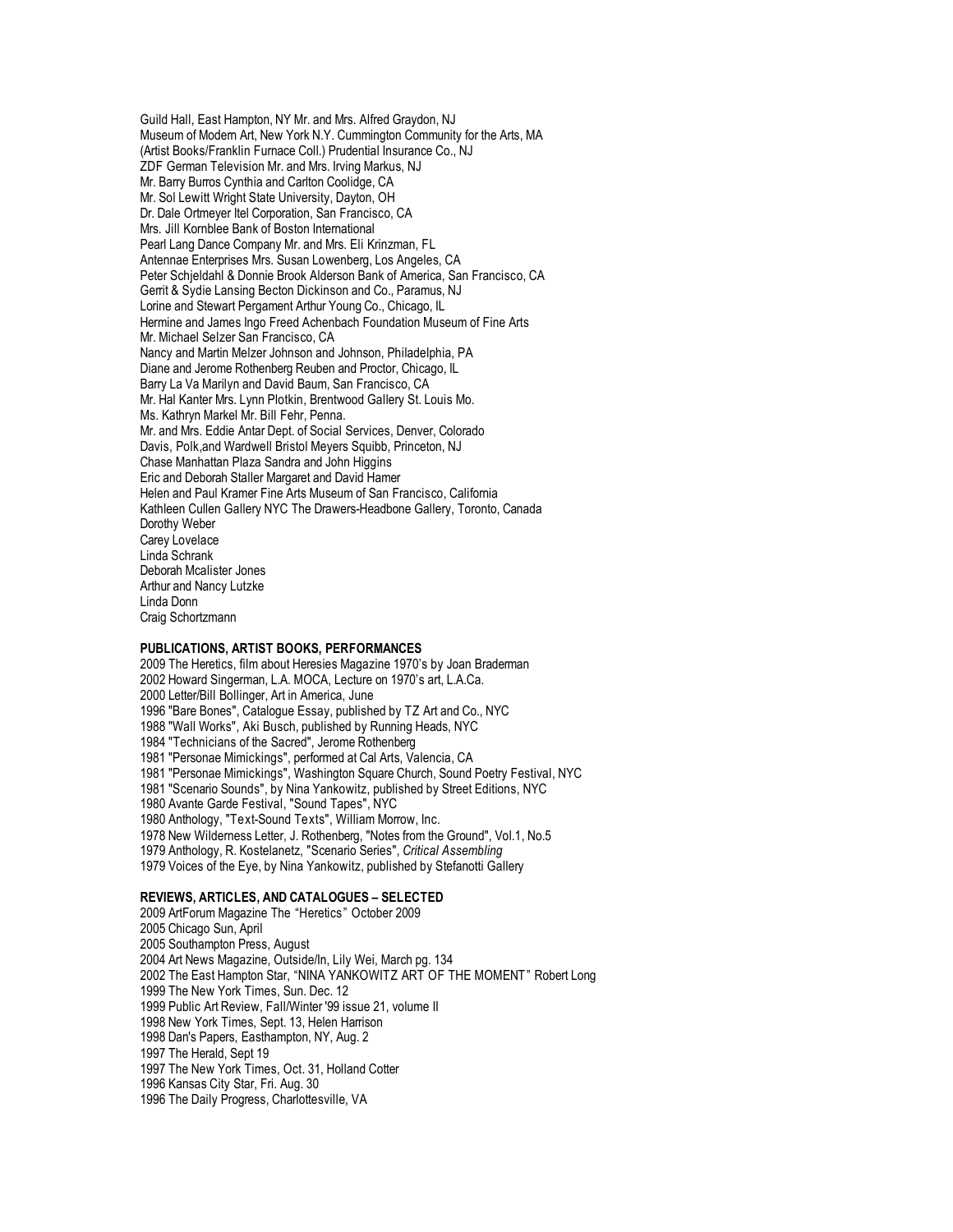Guild Hall, East Hampton, NY Mr. and Mrs. Alfred Graydon, NJ Museum of Modern Art, New York N.Y. Cummington Community for the Arts, MA (Artist Books/Franklin Furnace Coll.) Prudential Insurance Co., NJ ZDF German Television Mr. and Mrs. Irving Markus, NJ Mr. Barry Burros Cynthia and Carlton Coolidge, CA Mr. Sol Lewitt Wright State University, Dayton, OH Dr. Dale Ortmeyer Itel Corporation, San Francisco, CA Mrs. Jill Kornblee Bank of Boston International Pearl Lang Dance Company Mr. and Mrs. Eli Krinzman, FL Antennae Enterprises Mrs. Susan Lowenberg, Los Angeles, CA Peter Schjeldahl & Donnie Brook Alderson Bank of America, San Francisco, CA Gerrit & Sydie Lansing Becton Dickinson and Co., Paramus, NJ Lorine and Stewart Pergament Arthur Young Co., Chicago, IL Hermine and James Ingo Freed Achenbach Foundation Museum of Fine Arts Mr. Michael Selzer San Francisco, CA Nancy and Martin Melzer Johnson and Johnson, Philadelphia, PA Diane and Jerome Rothenberg Reuben and Proctor, Chicago, IL Barry La Va Marilyn and David Baum, San Francisco, CA Mr. Hal Kanter Mrs. Lynn Plotkin, Brentwood Gallery St. Louis Mo. Ms. Kathryn Markel Mr. Bill Fehr, Penna. Mr. and Mrs. Eddie Antar Dept. of Social Services, Denver, Colorado Davis, Polk,and Wardwell Bristol Meyers Squibb, Princeton, NJ Chase Manhattan Plaza Sandra and John Higgins Eric and Deborah Staller Margaret and David Hamer Helen and Paul Kramer Fine Arts Museum of San Francisco, California Kathleen Cullen Gallery NYC The Drawers-Headbone Gallery, Toronto, Canada Dorothy Weber Carey Lovelace Linda Schrank Deborah Mcalister Jones Arthur and Nancy Lutzke Linda Donn Craig Schortzmann

### **PUBLICATIONS, ARTIST BOOKS, PERFORMANCES**

 The Heretics, film about Heresies Magazine 1970's by Joan Braderman Howard Singerman, L.A. MOCA, Lecture on 1970's art, L.A.Ca. Letter/Bill Bollinger, Art in America, June "Bare Bones", Catalogue Essay, published by TZ Art and Co., NYC "Wall Works", Aki Busch, published by Running Heads, NYC "Technicians of the Sacred", Jerome Rothenberg "Personae Mimickings", performed at Cal Arts, Valencia, CA "Personae Mimickings", Washington Square Church, Sound Poetry Festival, NYC "Scenario Sounds", by Nina Yankowitz, published by Street Editions, NYC Avante Garde Festival, "Sound Tapes", NYC Anthology, "Text-Sound Texts", William Morrow, Inc. New Wilderness Letter, J. Rothenberg, "Notes from the Ground", Vol.1, No.5 Anthology, R. Kostelanetz, "Scenario Series", *Critical Assembling* Voices of the Eye, by Nina Yankowitz, published by Stefanotti Gallery

### **REVIEWS, ARTICLES, AND CATALOGUES – SELECTED**

 ArtForum Magazine The "Heretics " October 2009 Chicago Sun, April Southampton Press, August Art News Magazine, Outside/In, Lily Wei, March pg. 134 The East Hampton Star, "NINA YANKOWITZ ART OF THE MOMENT" Robert Long The New York Times, Sun. Dec. 12 Public Art Review, Fall/Winter '99 issue 21, volume II New York Times, Sept. 13, Helen Harrison Dan's Papers, Easthampton, NY, Aug. 2 The Herald, Sept 19 The New York Times, Oct. 31, Holland Cotter Kansas City Star, Fri. Aug. 30 The Daily Progress, Charlottesville, VA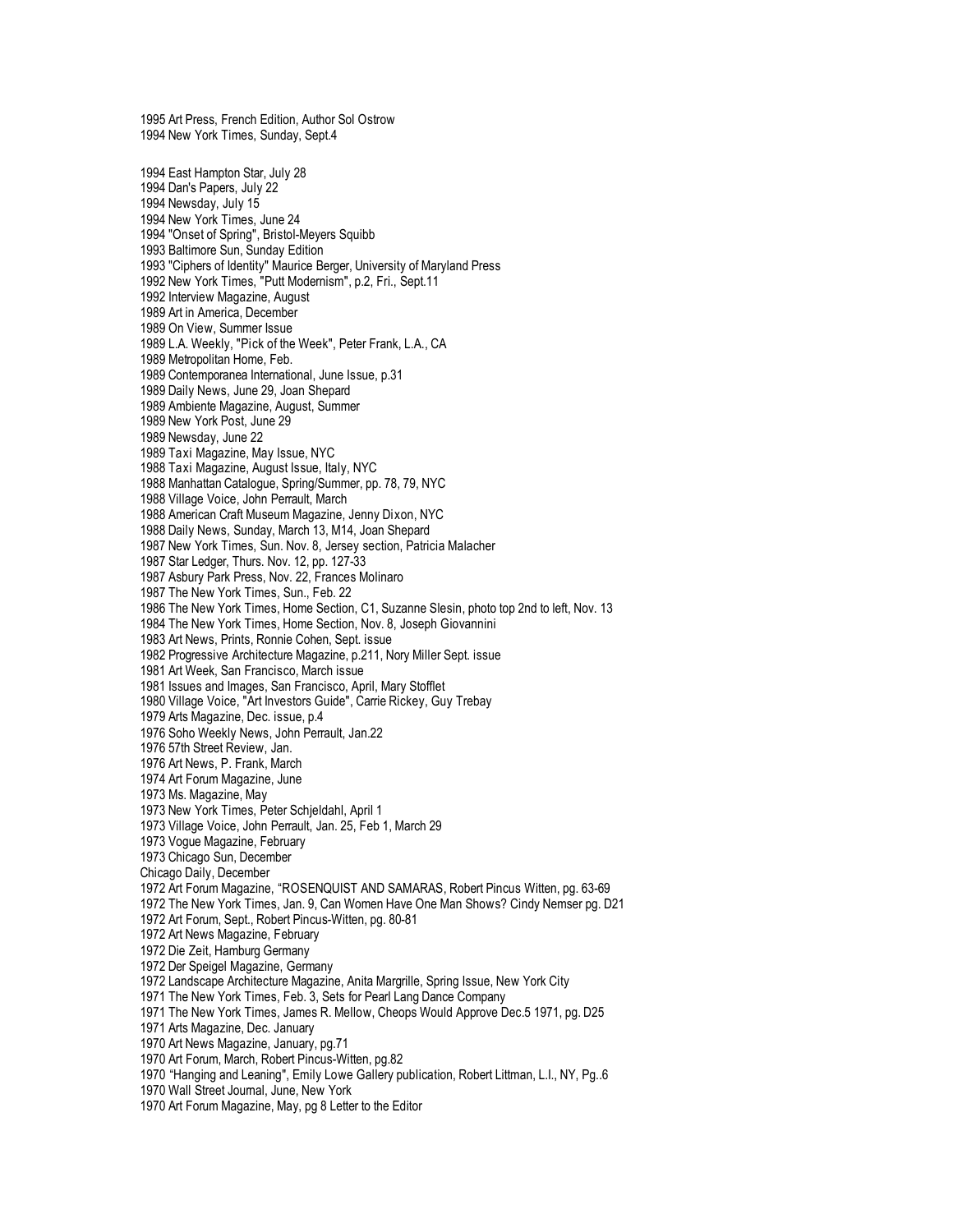Art Press, French Edition, Author Sol Ostrow New York Times, Sunday, Sept.4 East Hampton Star, July 28 Dan's Papers, July 22 Newsday, July 15 New York Times, June 24 1994 "Onset of Spring", Bristol-Meyers Squibb Baltimore Sun, Sunday Edition "Ciphers of Identity" Maurice Berger, University of Maryland Press New York Times, "Putt Modernism", p.2, Fri., Sept.11 Interview Magazine, August Art in America, December On View, Summer Issue L.A. Weekly, "Pick of the Week", Peter Frank, L.A., CA Metropolitan Home, Feb. Contemporanea International, June Issue, p.31 Daily News, June 29, Joan Shepard Ambiente Magazine, August, Summer New York Post, June 29 Newsday, June 22 Taxi Magazine, May Issue, NYC Taxi Magazine, August Issue, Italy, NYC Manhattan Catalogue, Spring/Summer, pp. 78, 79, NYC Village Voice, John Perrault, March American Craft Museum Magazine, Jenny Dixon, NYC Daily News, Sunday, March 13, M14, Joan Shepard New York Times, Sun. Nov. 8, Jersey section, Patricia Malacher Star Ledger, Thurs. Nov. 12, pp. 127-33 Asbury Park Press, Nov. 22, Frances Molinaro The New York Times, Sun., Feb. 22 The New York Times, Home Section, C1, Suzanne Slesin, photo top 2nd to left, Nov. 13 The New York Times, Home Section, Nov. 8, Joseph Giovannini Art News, Prints, Ronnie Cohen, Sept. issue Progressive Architecture Magazine, p.211, Nory Miller Sept. issue Art Week, San Francisco, March issue Issues and Images, San Francisco, April, Mary Stofflet Village Voice, "Art Investors Guide", Carrie Rickey, Guy Trebay Arts Magazine, Dec. issue, p.4 Soho Weekly News, John Perrault, Jan.22 57th Street Review, Jan. Art News, P. Frank, March Art Forum Magazine, June Ms. Magazine, May New York Times, Peter Schjeldahl, April 1 Village Voice, John Perrault, Jan. 25, Feb 1, March 29 Vogue Magazine, February Chicago Sun, December Chicago Daily, December Art Forum Magazine, "ROSENQUIST AND SAMARAS, Robert Pincus Witten, pg. 63-69 The New York Times, Jan. 9, Can Women Have One Man Shows? Cindy Nemser pg. D21 Art Forum, Sept., Robert Pincus-Witten, pg. 80-81 Art News Magazine, February Die Zeit, Hamburg Germany Der Speigel Magazine, Germany Landscape Architecture Magazine, Anita Margrille, Spring Issue, New York City The New York Times, Feb. 3, Sets for Pearl Lang Dance Company The New York Times, James R. Mellow, Cheops Would Approve Dec.5 1971, pg. D25 Arts Magazine, Dec. January Art News Magazine, January, pg.71 Art Forum, March, Robert Pincus-Witten, pg.82 "Hanging and Leaning", Emily Lowe Gallery publication, Robert Littman, L.I., NY, Pg..6 Wall Street Journal, June, New York Art Forum Magazine, May, pg 8 Letter to the Editor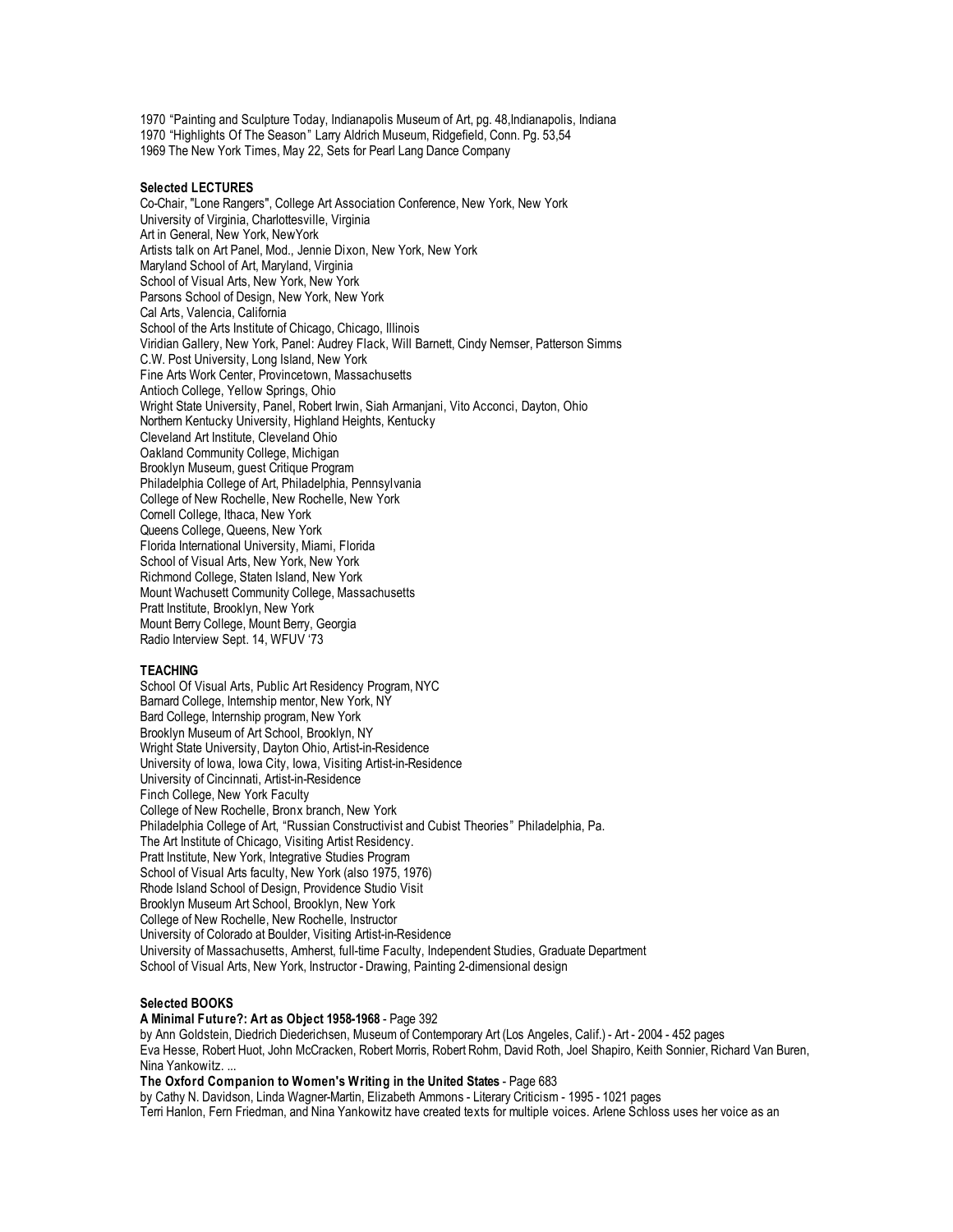1970 "Painting and Sculpture Today, Indianapolis Museum of Art, pg. 48,Indianapolis, Indiana 1970 "Highlights Of The Season" Larry Aldrich Museum, Ridgefield, Conn. Pg. 53,54 1969 The New York Times, May 22, Sets for Pearl Lang Dance Company

## **Selected LECTURES**

Co-Chair, "Lone Rangers", College Art Association Conference, New York, New York University of Virginia, Charlottesville, Virginia Art in General, New York, NewYork Artists talk on Art Panel, Mod., Jennie Dixon, New York, New York Maryland School of Art, Maryland, Virginia School of Visual Arts, New York, New York Parsons School of Design, New York, New York Cal Arts, Valencia, California School of the Arts Institute of Chicago, Chicago, Illinois Viridian Gallery, New York, Panel: Audrey Flack, Will Barnett, Cindy Nemser, Patterson Simms C.W. Post University, Long Island, New York Fine Arts Work Center, Provincetown, Massachusetts Antioch College, Yellow Springs, Ohio Wright State University, Panel, Robert Irwin, Siah Armanjani, Vito Acconci, Dayton, Ohio Northern Kentucky University, Highland Heights, Kentucky Cleveland Art Institute, Cleveland Ohio Oakland Community College, Michigan Brooklyn Museum, guest Critique Program Philadelphia College of Art, Philadelphia, Pennsylvania College of New Rochelle, New Rochelle, New York Cornell College, Ithaca, New York Queens College, Queens, New York Florida International University, Miami, Florida School of Visual Arts, New York, New York Richmond College, Staten Island, New York Mount Wachusett Community College, Massachusetts Pratt Institute, Brooklyn, New York Mount Berry College, Mount Berry, Georgia Radio Interview Sept. 14, WFUV '73

## **TEACHING**

School Of Visual Arts, Public Art Residency Program, NYC Barnard College, Internship mentor, New York, NY Bard College, Internship program, New York Brooklyn Museum of Art School, Brooklyn, NY Wright State University, Dayton Ohio, Artist-in-Residence University of Iowa, Iowa City, Iowa, Visiting Artist-in-Residence University of Cincinnati, Artist-in-Residence Finch College, New York Faculty College of New Rochelle, Bronx branch, New York Philadelphia College of Art, "Russian Constructivist and Cubist Theories " Philadelphia, Pa. The Art Institute of Chicago, Visiting Artist Residency. Pratt Institute, New York, Integrative Studies Program School of Visual Arts faculty, New York (also 1975, 1976) Rhode Island School of Design, Providence Studio Visit Brooklyn Museum Art School, Brooklyn, New York College of New Rochelle, New Rochelle, Instructor University of Colorado at Boulder, Visiting Artist-in-Residence University of Massachusetts, Amherst, full-time Faculty, Independent Studies, Graduate Department School of Visual Arts, New York, Instructor - Drawing, Painting 2-dimensional design

## **Selected BOOKS**

**A Minimal Future?: Art as Object 1958-1968** - Page 392 by Ann Goldstein, Diedrich Diederichsen, Museum of Contemporary Art (Los Angeles, Calif.) - Art - 2004 - 452 pages Eva Hesse, Robert Huot, John McCracken, Robert Morris, Robert Rohm, David Roth, Joel Shapiro, Keith Sonnier, Richard Van Buren, Nina Yankowitz. ...

**The Oxford Companion to Women's Writing in the United States** - Page 683

by Cathy N. Davidson, Linda Wagner-Martin, Elizabeth Ammons - Literary Criticism - 1995 - 1021 pages

Terri Hanlon, Fern Friedman, and Nina Yankowitz have created texts for multiple voices. Arlene Schloss uses her voice as an